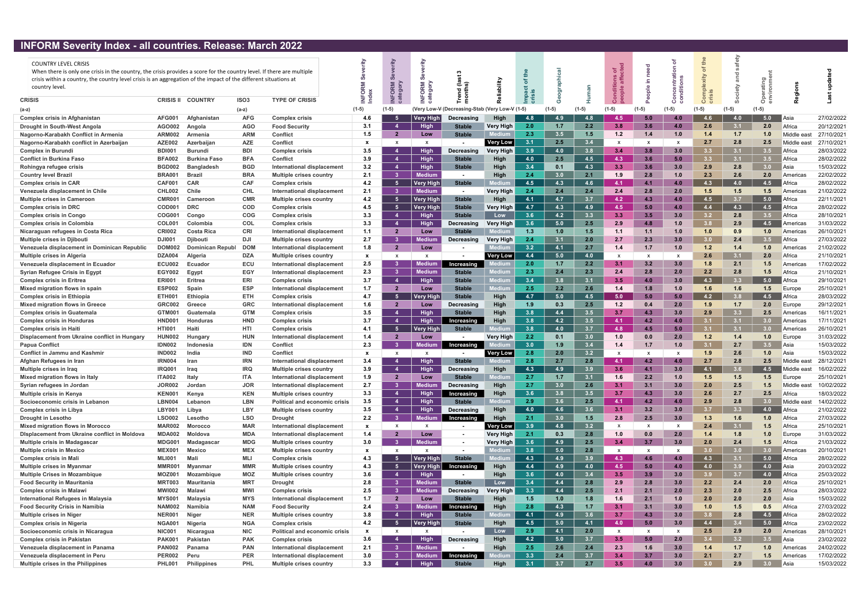## INFORM Severity Index - all countries. Release: March 2022

| <b>THE STATE SCROTTLY THUCK</b>                                                                                                                                                                                                                                                                              |                  | an countries. Included: martin Euge |                  |                                      |              |                        |                  |                                          |                  |                  |     |      |              |                 |         |                  |            |                  |             |            |
|--------------------------------------------------------------------------------------------------------------------------------------------------------------------------------------------------------------------------------------------------------------------------------------------------------------|------------------|-------------------------------------|------------------|--------------------------------------|--------------|------------------------|------------------|------------------------------------------|------------------|------------------|-----|------|--------------|-----------------|---------|------------------|------------|------------------|-------------|------------|
| <b>COUNTRY LEVEL CRISIS</b><br>When there is only one crisis in the country, the crisis provides a score for the country level. If there are multiple<br>crisis within a country, the country level crisis is an aggregation of the impact of the different situations at<br>country level.<br><b>CRISIS</b> | <b>CRISIS II</b> | <b>COUNTRY</b>                      | ISO <sub>3</sub> | <b>TYPE OF CRISIS</b>                | $\circ$      | ក ន                    | ORM              | 곧 후                                      |                  |                  |     |      | ಕ ಕೆ         | 르.<br>$\bullet$ |         |                  | fety       |                  |             |            |
|                                                                                                                                                                                                                                                                                                              |                  |                                     |                  |                                      |              |                        |                  |                                          |                  |                  |     |      |              |                 |         |                  |            | $\circ$          |             |            |
| (a-z)                                                                                                                                                                                                                                                                                                        |                  |                                     | $(a-z)$          |                                      | $(1-5)$      | (1-5)                  |                  | Very Low-V (Decreasing-Stab (Very Low-V) |                  | $(1-5)$          |     |      |              |                 | $(1-5)$ | $(1-5)$          |            |                  |             |            |
| <b>Complex crisis in Afghanistan</b>                                                                                                                                                                                                                                                                         | <b>AFG001</b>    | Afghanistan                         | <b>AFG</b>       | <b>Complex crisis</b>                | 4.6          |                        | Very High        | Decreasing                               | <b>High</b>      | 4.8              | 4.9 | -4.8 | 4 S          |                 | 4.0     | 4.6              | 4.0        | 5.0              | Asia        | 27/02/2022 |
| Drought in South-West Angola                                                                                                                                                                                                                                                                                 | AGO002           | Angola                              | <b>AGO</b>       | <b>Food Security</b>                 | 3.1          |                        | <b>High</b>      | <b>Stable</b>                            | Very High        | 2.0              | 1.7 | 2.2  | 3.8          | 3.6             | 4.0     | 2.6              | 3.1        | 2.0              | Africa      | 20/12/2021 |
| Nagorno-Karabakh Conflict in Armenia                                                                                                                                                                                                                                                                         | <b>ARM002</b>    | Armenia                             | <b>ARM</b>       | Conflict                             | 1.5          | $\overline{2}$         | Low              | <b>Stable</b>                            |                  | 2.3              | 3.5 | 1.5  | 1.2          | 1.4             | 1.0     | 1.4              | 1.7        | 1.0              | Middle east | 27/10/2021 |
| Nagorno-Karabakh conflict in Azerbaijan                                                                                                                                                                                                                                                                      | <b>AZE002</b>    | Azerbaijan                          | AZE              | Conflict                             | $\mathbf{x}$ | $\mathbf{x}$           | $\mathsf{x}$     |                                          | <b>Very Low</b>  | 3.1              | 2.5 | 3.4  | $\mathsf{x}$ |                 | X       | 2.7              | 2.8        | 2.5              | Middle eas  | 27/10/2021 |
| <b>Complex in Burundi</b>                                                                                                                                                                                                                                                                                    | <b>BDI001</b>    | Burundi                             | <b>BDI</b>       | <b>Complex crisis</b>                | 3.5          |                        | <b>High</b>      | Decreasing                               | <b>Very High</b> | 3.9              | 4.0 | 3.8  | 3.4          | 3.8             | 3.0     | 3.3 <sub>1</sub> | 3.1        | 3.5              | Africa      | 28/03/2022 |
| <b>Conflict in Burkina Faso</b>                                                                                                                                                                                                                                                                              | <b>BFA002</b>    | <b>Burkina Faso</b>                 | <b>BFA</b>       | Conflict                             | 3.9          | $\boldsymbol{4}$       | <b>High</b>      | <b>Stable</b>                            | <b>High</b>      | 4.0              | 2.5 | 4.5  | 4.3          | 3.6             | 5.0     | 3.3 <sub>1</sub> | 3.1        | 3.5              | Africa      | 28/02/2022 |
| Rohingya refugee crisis                                                                                                                                                                                                                                                                                      | <b>BGD002</b>    | <b>Bangladesh</b>                   | <b>BGD</b>       | <b>International displacement</b>    | 3.2          |                        | <b>High</b>      | <b>Stable</b>                            | High             | 3.4              | 0.1 | 4.3  | 3.3          | 3.6             | 3.0     | 2.9              | 2.8        | 3.0 <sub>1</sub> | Asia        | 15/03/2022 |
| <b>Country level Brazil</b>                                                                                                                                                                                                                                                                                  | <b>BRA001</b>    | Brazi                               | <b>BRA</b>       | Multiple crises country              | 2.1          | -3                     | Medium           | $\blacksquare$                           | High             | 2.4              | 3.0 | 2.1  | 1.9          | 2.8             | 1.0     | 2.3              | 2.6        | 2.0              | Americas    | 22/02/2022 |
| <b>Complex crisis in CAR</b>                                                                                                                                                                                                                                                                                 | <b>CAF001</b>    | <b>CAR</b>                          | <b>CAF</b>       | <b>Complex crisis</b>                | 4.2          | -5                     | <b>Very Higl</b> | <b>Stable</b>                            |                  | 4.5              | 4.3 | 4.6  | 4.1          | 4.1             | 4.0     | 4.3              | 4.0        | 4.5              | Africa      | 28/02/2022 |
| Venezuela displacement in Chile                                                                                                                                                                                                                                                                              | CHL002           | Chile                               | <b>CHL</b>       | International displacement           | 2.1          | -3                     | <b>Medium</b>    | $\blacksquare$                           | Very High        | 2.4              | 2.4 | 2.4  | 2.4          | 2.8             | 2.0     | 1.5              | 1.5        | 1.5              | Americas    | 21/02/2022 |
| <b>Multiple crises in Cameroon</b>                                                                                                                                                                                                                                                                           | <b>CMR001</b>    | Cameroon                            | <b>CMR</b>       | <b>Multiple crises country</b>       | 4.2          | -5                     | <b>Very High</b> | <b>Stable</b>                            | High             | 4.1              | 4.7 | 3.7  | 4.2          | 4.3             | 4.0     | 4.5              | 3.7        | 5.0              | Africa      | 22/11/2021 |
| <b>Complex crisis in DRC</b>                                                                                                                                                                                                                                                                                 | COD00            | <b>DRC</b>                          | <b>COD</b>       | <b>Complex crisis</b>                | 4.5          | -5                     | <b>Very High</b> | <b>Stable</b>                            | <b>Very High</b> | 4.7              | 4.3 | 4.9  | 4.5          | 5.0             | 4.0     | 4.4              | 4.3        | 4.5              | Africa      | 28/02/2022 |
| <b>Complex crisis in Congo</b>                                                                                                                                                                                                                                                                               | <b>COG001</b>    | Congo                               | <b>COG</b>       | <b>Complex crisis</b>                | 3.3          | $\boldsymbol{\Lambda}$ | High             | <b>Stable</b>                            | Low              | 3.6              | 4.2 | 3.3  | 3.3          | 3.5             | 3.0     | 3.2 <sub>2</sub> | 2.8        | 3.5              | Africa      | 28/10/2021 |
| <b>Complex crisis in Colombia</b>                                                                                                                                                                                                                                                                            | <b>COL001</b>    | Colombia                            | <b>COL</b>       | <b>Complex crisis</b>                | 3.3          |                        | <b>High</b>      | Decreasing                               | <b>Very High</b> | 3.6              | 5.0 | 2.5  | 2.9          | 4.8             | 1.0     | 3.8              | 2.9        | 4.5              | Americas    | 31/03/2022 |
| Nicaraguan refugees in Costa Rica                                                                                                                                                                                                                                                                            | <b>CRI002</b>    | <b>Costa Rica</b>                   | <b>CRI</b>       | International displacement           | 1.1          | $\overline{2}$         | Low              | <b>Stable</b>                            |                  | 1.3              | 1.0 | 1.5  | 1.1          | 1.1             | 1.0     | 1.0              | 0.9        | 1.0              | Americas    | 26/10/2021 |
| <b>Multiple crises in Djibouti</b>                                                                                                                                                                                                                                                                           | DJI00            | <b>Diibout</b>                      | <b>DJI</b>       | Multiple crises country              | 2.7          | -3                     | ledium           | Decreasing                               | <b>Verv High</b> | 2.4              | 3.1 | 2.0  | 2.7          | 2.3             | 3.0     | 3.0 <sub>1</sub> | 2.4        | 3.5              | Africa      | 27/03/2022 |
| Venezuela displacement in Dominican Republic                                                                                                                                                                                                                                                                 | <b>DOM002</b>    | <b>Dominican Republ</b>             | <b>DOM</b>       | International displacement           | 1.8          | $\overline{2}$         | Low              |                                          |                  | 3.2              | 4.1 | 2.7  | 1.4          | 1.7             | 1.0     | 1.2              | 1.4        | 1.0              | Americas    | 21/02/2022 |
| Multiple crises in Algeria                                                                                                                                                                                                                                                                                   | <b>DZA004</b>    | Algeria                             | <b>DZA</b>       | <b>Multiple crises country</b>       | $\mathbf{x}$ | x                      |                  |                                          | <b>Very Low</b>  | 4.4              | 5.0 | 4.0  | X            |                 |         | 2.6              | 3.1        | 2.0              | Africa      | 21/10/2021 |
| Venezuela displacement in Ecuador                                                                                                                                                                                                                                                                            | <b>ECU002</b>    | Ecuador                             | ECU              | International displacement           | 2.5          | -3                     | Medium           | Increasing                               |                  | 2.0              | 1.7 | 2.2  | 3.1          | 3.2             | 3.0     | 1.8              | 2.1        | $1.5$            | Americas    | 17/02/2022 |
| <b>Syrian Refugee Crisis in Egypt</b>                                                                                                                                                                                                                                                                        | <b>EGY002</b>    | Egypt                               | <b>EGY</b>       | International displacement           | 2.3          | -3                     | Medium           | <b>Stable</b>                            | ledium           | 2.3              | 2.4 | 2.3  | 2.4          | 2.8             | 2.0     | 2.2              | 2.8        | 1.5              | Africa      | 21/10/2021 |
| <b>Complex crisis in Eritrea</b>                                                                                                                                                                                                                                                                             | <b>ERI001</b>    | Eritrea                             | ERI              | Complex crisis                       | 3.7          | $\boldsymbol{\Lambda}$ | <b>High</b>      | <b>Stable</b>                            |                  | 3.4              | 3.8 | 3.1  | 3.5          | 4.0             | 3.0     | 4.3              | 3.3        | 5.0              | Africa      | 29/10/2021 |
| Mixed migration flows in spain                                                                                                                                                                                                                                                                               | <b>ESP002</b>    | Spain                               | <b>ESP</b>       | International displacement           | 1.7          | $\mathbf{2}$           | Low              | Stable                                   | lediur           | 2.5              | 2.2 | 2.6  | 1.4          | 1.8             | 1.0     | 1.6              | 1.6        | 1.5              | Europe      | 25/10/2021 |
| <b>Complex crisis in Ethiopia</b>                                                                                                                                                                                                                                                                            | <b>ETH001</b>    | Ethiopia                            | <b>ETH</b>       | <b>Complex crisis</b>                | 4.7          | -5                     | Very Hig         | <b>Stable</b>                            | High             | 4.7              | 5.0 | 4.5  | 5.0          | 5.0             | 5.0     | 4.2              | <b>3.8</b> | 4.5              | Africa      | 28/03/2022 |
| <b>Mixed migration flows in Greece</b>                                                                                                                                                                                                                                                                       | <b>GRC002</b>    | Greece                              | <b>GRC</b>       | <b>International displacement</b>    | 1.6          | $\overline{2}$         | Low              | Decreasing                               | High             | 1.9              | 0.3 | 2.5  | 1.2          | 0.4             | 2.0     | 1.9              | 1.7        | 2.0              | Europe      | 29/12/2021 |
| <b>Complex crisis in Guatemala</b>                                                                                                                                                                                                                                                                           | GTM001           | Guatemala                           | <b>GTM</b>       | <b>Complex crisis</b>                | 3.5          | $\boldsymbol{A}$       | <b>High</b>      | <b>Stable</b>                            | <b>High</b>      | 3.8              | 4.4 | 3.5  | 3.7          | 4.3             | 3.0     | 2.9              | 3.3        | 2.5              | Americas    | 16/11/2021 |
| <b>Complex crisis in Honduras</b>                                                                                                                                                                                                                                                                            | HND00            | <b>Honduras</b>                     | <b>HND</b>       | <b>Complex crisis</b>                | 3.7          | 4                      | <b>High</b>      | Increasing                               | High             | 3.8              | 4.2 | 3.5  | 4.1          | 4.2             | 4.0     | 3.1              | 3.1        | 3.0              | Americas    | 17/11/2021 |
| <b>Complex crisis in Haiti</b>                                                                                                                                                                                                                                                                               | <b>HTI00</b>     |                                     | HTI              | <b>Complex crisis</b>                | 4.1          | -5                     | <b>Very Higl</b> | <b>Stable</b>                            |                  | 3.8              | 4.0 | 3.7  | 4.8          | 4.5             | 5.0     | 31               | 3.1        | 3.0              | Americas    | 26/10/2021 |
| Displacement from Ukraine conflict in Hungary                                                                                                                                                                                                                                                                | <b>HUN002</b>    | Hungary                             | <b>HUN</b>       | International displacement           | 1.4          | $\overline{2}$         | Low              |                                          | <b>Very High</b> | 2.2              | 0.1 | 3.0  | 1.0          | 0.0             | 2.0     | 1.2              | 1.4        | 1.0              | Europe      | 31/03/2022 |
| <b>Papua Conflict</b>                                                                                                                                                                                                                                                                                        | <b>IDN002</b>    | Indonesia                           | <b>IDN</b>       | Conflict                             | 2.3          | -3                     | Medium           | Increasing                               |                  | 3.0              | 1.9 | 3.4  | 1.4          | 1.7             | 1.0     | 3.1              | 2.7        | 3.5              | Asia        | 15/03/2022 |
| <b>Conflict in Jammu and Kashmir</b>                                                                                                                                                                                                                                                                         | <b>IND002</b>    |                                     | IND              | Conflict                             | $\mathbf{x}$ | X                      | X                |                                          | <b>Very Low</b>  | 2.8              | 2.0 | 3.2  | X            |                 |         | 1.9              | 2.6        | 1.0              | Asia        | 15/03/2022 |
| Afghan Refugees in Iran                                                                                                                                                                                                                                                                                      | IRN00            | Iran                                | <b>IRN</b>       | <b>International displacement</b>    | 3.4          |                        | <b>High</b>      | <b>Stable</b>                            |                  | 2.8              | 2.7 | 2.8  | 4.1          | 4.2             | 4.0     | 2.7              | 2.8        | 2.5              | Middle east | 28/12/2021 |
| Multiple crises in Iraq                                                                                                                                                                                                                                                                                      | IRQ001           | <b>Irag</b>                         | <b>IRQ</b>       | <b>Multiple crises country</b>       | 3.9          | $\boldsymbol{\Lambda}$ | <b>High</b>      | <b>Decreasing</b>                        | Hiah             | 4.3              | 4.9 | 3.9  | 3.6          | 4.1             | 3.0     | 4.1              |            | 4.5              | Middle east | 16/02/2022 |
| Mixed migration flows in Italy                                                                                                                                                                                                                                                                               | <b>ITA002</b>    | Italy                               | <b>ITA</b>       | International displacement           | 1.9          | 2                      | Low              | <b>Stable</b>                            |                  | 2.7              | 1.7 | 3.1  | 1.6          | 2.2             | 1.0     | 1.5              | 1.5        | $1.5$            | Europe      | 25/10/2021 |
| Syrian refugees in Jordan                                                                                                                                                                                                                                                                                    | <b>JOR002</b>    | Jordan                              | <b>JOR</b>       | <b>International displacement</b>    | 2.7          | -3                     | Medium           | <b>Decreasing</b>                        | High             | 2.7              | 3.0 | 2.6  | 3.1          | 3.1             | 3.0     | 2.0              | 2.5        | 1.5              | Middle east | 10/02/2022 |
| <b>Multiple crisis in Kenya</b>                                                                                                                                                                                                                                                                              | <b>KEN001</b>    | Kenya                               | <b>KEN</b>       | <b>Multiple crises country</b>       | 3.3          | $\boldsymbol{\Lambda}$ | High             | Increasing                               | High             | 3.6              | 3.8 | 3.5  | 3.7          | 4.3             | 3.0     | 2.6              | 2.7        | 2.5              | Africa      | 18/03/2022 |
| Socioeconomic crisis in Lebanon                                                                                                                                                                                                                                                                              | <b>LBN004</b>    | Lebanon                             | <b>LBN</b>       | <b>Political and economic crisis</b> | 3.5          |                        | <b>High</b>      | <b>Stable</b>                            |                  | 2.9              | 3.6 | 2.5  | 4.1          | 4.2             | 4.0     | 2.9              | 2.8        | 3.0              | Middle east | 14/02/2022 |
| <b>Complex crisis in Libya</b>                                                                                                                                                                                                                                                                               | <b>LBY001</b>    | Libya                               | LBY              | <b>Multiple crises country</b>       | 3.5          |                        | <b>High</b>      | Decreasing                               | High             | 4.0              | 4.6 | 3.6  | 3.1          | 3.2             | 3.0     | 3.7              | 3.3        | 4.0              | Africa      | 21/02/2022 |
| <b>Drought in Lesotho</b>                                                                                                                                                                                                                                                                                    | <b>LSO002</b>    | Lesotho                             | <b>LSO</b>       | <b>Drought</b>                       | 2.2          | -3                     | <b>Medium</b>    | Increasing                               | <b>High</b>      | 2.1              | 3.0 | 1.5  | 2.8          | 2.5             | 3.0     | 1.3              | 1.6        | 1.0              | Africa      | 27/03/2022 |
| <b>Mixed migration flows in Morocco</b>                                                                                                                                                                                                                                                                      | <b>MAR002</b>    | Morocco                             | <b>MAR</b>       | International displacement           | $\mathbf{x}$ | x                      | $\mathsf{X}$     | $\blacksquare$                           | <b>Very Low</b>  | 3.9 <sub>°</sub> | 4.8 | 3.2  | X            |                 | X       | 2.4              | 3.1        | 1.5              | Africa      | 25/10/2021 |
| <b>Displacement from Ukraine conflict in Moldova</b>                                                                                                                                                                                                                                                         | <b>MDA002</b>    | <b>Moldova</b>                      | <b>MDA</b>       | International displacement           | 1.4          | -2                     | Low              | $\blacksquare$                           | <b>Very High</b> | 2.1              | 0.3 | 2.8  | 1.0          | 0.0             | 2.0     | 1.4              | 1.8        | 1.0              | Europe      | 31/03/2022 |
| <b>Multiple crisis in Madagascar</b>                                                                                                                                                                                                                                                                         | <b>MDG001</b>    | Madagascar                          | <b>MDG</b>       | <b>Multiple crises country</b>       | 3.0          | - 3                    | Medium           | $\blacksquare$                           | <b>Very High</b> | 3.6              | 4.9 | 2.5  | 3.4          | 3.7             | 3.0     | 2.0              | 2.4        | 1.5              | Africa      | 21/03/2022 |
| <b>Multiple crisis in Mexico</b>                                                                                                                                                                                                                                                                             | <b>MEX001</b>    | <b>Mexico</b>                       | <b>MEX</b>       | <b>Multiple crises country</b>       | $\mathbf{x}$ | $\mathsf{x}$           | $\mathsf{X}$     |                                          | lediuı           | 3.8              | 5.0 | 2.8  | X            |                 | X       | 3.0              | 3.0        | 3.0              | Americas    | 20/10/2021 |
| <b>Complex crisis in Mali</b>                                                                                                                                                                                                                                                                                | <b>MLI001</b>    | Mali                                | MLI              | <b>Complex crisis</b>                | 4.3          | -5                     | Very High        | <b>Stable</b>                            |                  | 4.3              | 4.9 | 3.9  | 4.3          | 4.6             | 4.0     | 4.3              | 3.1        | 5.0              | Africa      | 28/02/2022 |
| <b>Multiple crises in Myanmar</b>                                                                                                                                                                                                                                                                            | MMR001           | Myanmar                             | <b>MMR</b>       | <b>Multiple crises country</b>       | 4.3          | -5                     | Very High        | Increasing                               | High             | 4.4              | 4.9 | 4.0  | 4.5          | 5.0             | 4.0     | 4.0              | 3.9        | 4.0              | Asia        | 20/03/2022 |
| <b>Multiple Crises in Mozambique</b>                                                                                                                                                                                                                                                                         | <b>MOZ001</b>    | Mozambique                          | <b>MOZ</b>       | <b>Multiple crises country</b>       | 3.6          | $\boldsymbol{\Lambda}$ | High             |                                          | High             | 3.6              | 4.0 | 3.4  | 3.5          | 3.9             | 3.0     | 3.9              | 3.7        | 4.0              | Africa      | 25/03/2022 |
| <b>Food Security in Mauritania</b>                                                                                                                                                                                                                                                                           | <b>MRT003</b>    | Mauritania                          | <b>MRT</b>       | <b>Drought</b>                       | 2.8          | -3                     | <b>Medium</b>    | <b>Stable</b>                            | Low              | 3.4              | 4.4 | 2.8  | 2.9          | 2.8             | 3.0     | 2.2              | 2.4        | 2.0              | Africa      | 25/10/2021 |
| <b>Complex crisis in Malawi</b>                                                                                                                                                                                                                                                                              | <b>MWI002</b>    | Malawi                              | <b>MWI</b>       | <b>Complex crisis</b>                | 2.5          | -3                     | Medium           | Decreasing                               | <b>Very High</b> | 3.3              | 4.4 | 2.5  | 2.1          | 2.1             | 2.0     | 2.3              | 2.0        | 2.5              | Africa      | 28/03/2022 |
| International Refugees in Malaysia                                                                                                                                                                                                                                                                           | <b>MYS001</b>    | Malaysia                            | <b>MYS</b>       | International displacement           | 1.7          | $\mathbf{2}$           | Low              | <b>Stable</b>                            | High             | 1.5              | 1.0 | 1.8  | 1.6          | 2.1             | 1.0     | 2.0              | 2.0        | 2.0              | Asia        | 15/03/2022 |
| <b>Food Security Crisis in Namibia</b>                                                                                                                                                                                                                                                                       | <b>NAM002</b>    | Namibia                             | <b>NAM</b>       | <b>Food Security</b>                 | 2.4          | -3                     | <b>Medium</b>    | Increasing                               | High             | 2.8              | 4.3 | 1.7  | 3.1          | 3.1             | 3.0     | 1.0              | 1.5        | 0.5              | Africa      | 27/03/2022 |
| <b>Multiple crises in Niger</b>                                                                                                                                                                                                                                                                              | <b>NER001</b>    | Niger                               | <b>NER</b>       | Multiple crises country              | 3.8          |                        | <b>High</b>      | <b>Stable</b>                            |                  | 4.1              | 4.9 | 3.6  | 3.7          | 4.3             | 3.0     | 3.8              | 2.8        | 4.5              | Africa      | 28/02/2022 |
| <b>Complex crisis in Nigeria</b>                                                                                                                                                                                                                                                                             | <b>NGA001</b>    | Nigeria                             | <b>NGA</b>       | <b>Complex crisis</b>                | 4.2          | -5                     | <b>Very High</b> | <b>Stable</b>                            | <b>High</b>      | 4.5              | 5.0 | 4.1  | 4.0          | 5.0             | 3.0     | 4.4              | 3.4        | 5.0              | Africa      | 23/02/2022 |
| Socioeconomic crisis in Nicaragua                                                                                                                                                                                                                                                                            | <b>NIC001</b>    | Nicaragua                           | <b>NIC</b>       | <b>Political and economic crisis</b> | $\mathbf{x}$ | X                      | X                | $\blacksquare$                           | Low              | 2.9              | 4.1 | 2.0  | X.           |                 | X       | 2.5              | 2.9        | 2.0              | Americas    | 28/10/2021 |
| <b>Complex crisis in Pakistan</b>                                                                                                                                                                                                                                                                            | <b>PAK001</b>    | Pakistan                            | <b>PAK</b>       | <b>Complex crisis</b>                | 3.6          | $\boldsymbol{\Lambda}$ | <b>High</b>      | Decreasing                               | High             | 4.2              | 5.0 | 3.7  | 3.5          | 5.0             | 2.0     | 3.4              | 3.2        | 3.5              | Asia        | 23/02/2022 |
| Venezuela displacement in Panama                                                                                                                                                                                                                                                                             | <b>PAN002</b>    | Panama                              | <b>PAN</b>       | International displacement           | 2.1          | -3                     | <b>Medium</b>    | $\overline{\phantom{a}}$                 | <b>High</b>      | 2.5              | 2.6 | 2.4  | 2.3          | 1.6             | 3.0     | 1.4              | 1.7        | 1.0              | Americas    | 24/02/2022 |
| Venezuela displacement in Peru                                                                                                                                                                                                                                                                               | <b>PER002</b>    | Peru                                | <b>PER</b>       | International displacement           | 3.0          | -3                     | Medium           | Increasing                               |                  | 3.3              | 2.4 | 3.7  | 3.4          | 3.7             | 3.0     | 2.1              | 2.7        | 1.5              | Americas    | 17/02/2022 |
| Multiple crises in the Philippines                                                                                                                                                                                                                                                                           | <b>PHL001</b>    | <b>Philippines</b>                  | <b>PHL</b>       | <b>Multiple crises country</b>       | 3.3          |                        | <b>High</b>      | <b>Stable</b>                            | <b>High</b>      | 3.1              | 3.7 | 2.7  | 3.5          | 4.0             | 3.0     |                  | 2.9        | 3.0 <sub>1</sub> | Asia        | 15/03/2022 |